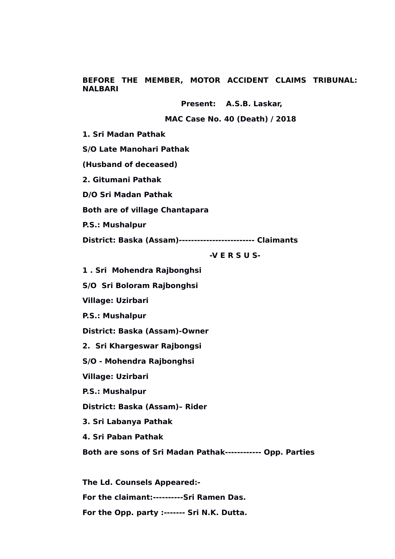**BEFORE THE MEMBER, MOTOR ACCIDENT CLAIMS TRIBUNAL: NALBARI**

**Present: A.S.B. Laskar,**

 **MAC Case No. 40 (Death) / 2018**

**1. Sri Madan Pathak**

**S/O Late Manohari Pathak**

**(Husband of deceased)**

**2. Gitumani Pathak**

**D/O Sri Madan Pathak** 

**Both are of village Chantapara**

**P.S.: Mushalpur**

**District: Baska (Assam)------------------------- Claimants** 

 **-V E R S U S-**

**1 . Sri Mohendra Rajbonghsi**

**S/O Sri Boloram Rajbonghsi**

**Village: Uzirbari**

**P.S.: Mushalpur**

**District: Baska (Assam)-Owner**

**2. Sri Khargeswar Rajbongsi**

**S/O - Mohendra Rajbonghsi** 

**Village: Uzirbari**

**P.S.: Mushalpur**

**District: Baska (Assam)– Rider** 

**3. Sri Labanya Pathak**

**4. Sri Paban Pathak**

**Both are sons of Sri Madan Pathak------------ Opp. Parties** 

**The Ld. Counsels Appeared:- For the claimant:----------Sri Ramen Das. For the Opp. party :------- Sri N.K. Dutta.**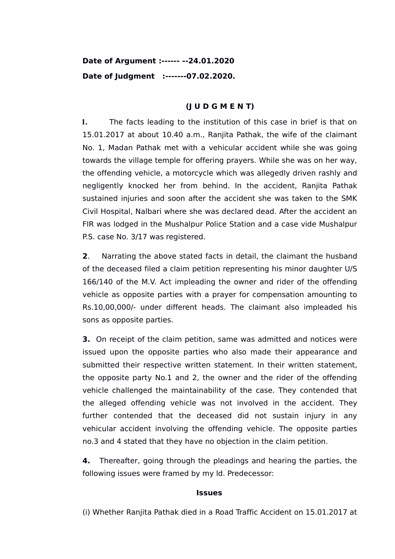# **Date of Argument :------ --24.01.2020 Date of Judgment :-------07.02.2020.**

## **(J U D G M E N T)**

**1.** The facts leading to the institution of this case in brief is that on 15.01.2017 at about 10.40 a.m., Ranjita Pathak, the wife of the claimant No. 1, Madan Pathak met with a vehicular accident while she was going towards the village temple for offering prayers. While she was on her way, the offending vehicle, a motorcycle which was allegedly driven rashly and negligently knocked her from behind. In the accident, Ranjita Pathak sustained injuries and soon after the accident she was taken to the SMK Civil Hospital, Nalbari where she was declared dead. After the accident an FIR was lodged in the Mushalpur Police Station and a case vide Mushalpur P.S. case No. 3/17 was registered.

**2**. Narrating the above stated facts in detail, the claimant the husband of the deceased filed a claim petition representing his minor daughter U/S 166/140 of the M.V. Act impleading the owner and rider of the offending vehicle as opposite parties with a prayer for compensation amounting to Rs.10,00,000/- under different heads. The claimant also impleaded his sons as opposite parties.

**3.** On receipt of the claim petition, same was admitted and notices were issued upon the opposite parties who also made their appearance and submitted their respective written statement. In their written statement, the opposite party No.1 and 2, the owner and the rider of the offending vehicle challenged the maintainability of the case. They contended that the alleged offending vehicle was not involved in the accident. They further contended that the deceased did not sustain injury in any vehicular accident involving the offending vehicle. The opposite parties no.3 and 4 stated that they have no objection in the claim petition.

**4.** Thereafter, going through the pleadings and hearing the parties, the following issues were framed by my ld. Predecessor:

## **Issues**

(i) Whether Ranjita Pathak died in a Road Traffic Accident on 15.01.2017 at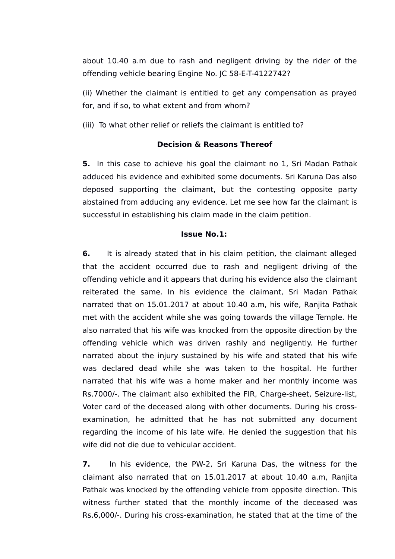about 10.40 a.m due to rash and negligent driving by the rider of the offending vehicle bearing Engine No. JC 58-E-T-4122742?

(ii) Whether the claimant is entitled to get any compensation as prayed for, and if so, to what extent and from whom?

(iii) To what other relief or reliefs the claimant is entitled to?

### **Decision & Reasons Thereof**

**5.** In this case to achieve his goal the claimant no 1, Sri Madan Pathak adduced his evidence and exhibited some documents. Sri Karuna Das also deposed supporting the claimant, but the contesting opposite party abstained from adducing any evidence. Let me see how far the claimant is successful in establishing his claim made in the claim petition.

#### **Issue No.1:**

**6.** It is already stated that in his claim petition, the claimant alleged that the accident occurred due to rash and negligent driving of the offending vehicle and it appears that during his evidence also the claimant reiterated the same. In his evidence the claimant, Sri Madan Pathak narrated that on 15.01.2017 at about 10.40 a.m, his wife, Ranjita Pathak met with the accident while she was going towards the village Temple. He also narrated that his wife was knocked from the opposite direction by the offending vehicle which was driven rashly and negligently. He further narrated about the injury sustained by his wife and stated that his wife was declared dead while she was taken to the hospital. He further narrated that his wife was a home maker and her monthly income was Rs.7000/-. The claimant also exhibited the FIR, Charge-sheet, Seizure-list, Voter card of the deceased along with other documents. During his crossexamination, he admitted that he has not submitted any document regarding the income of his late wife. He denied the suggestion that his wife did not die due to vehicular accident.

**7.** In his evidence, the PW-2, Sri Karuna Das, the witness for the claimant also narrated that on 15.01.2017 at about 10.40 a.m, Ranjita Pathak was knocked by the offending vehicle from opposite direction. This witness further stated that the monthly income of the deceased was Rs.6,000/-. During his cross-examination, he stated that at the time of the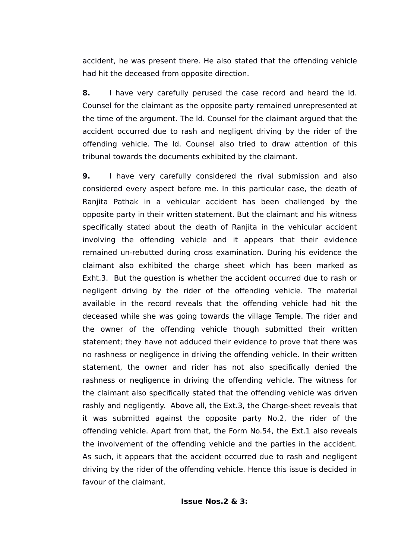accident, he was present there. He also stated that the offending vehicle had hit the deceased from opposite direction.

**8.** I have very carefully perused the case record and heard the ld. Counsel for the claimant as the opposite party remained unrepresented at the time of the argument. The ld. Counsel for the claimant argued that the accident occurred due to rash and negligent driving by the rider of the offending vehicle. The ld. Counsel also tried to draw attention of this tribunal towards the documents exhibited by the claimant.

**9.** I have very carefully considered the rival submission and also considered every aspect before me. In this particular case, the death of Ranjita Pathak in a vehicular accident has been challenged by the opposite party in their written statement. But the claimant and his witness specifically stated about the death of Ranjita in the vehicular accident involving the offending vehicle and it appears that their evidence remained un-rebutted during cross examination. During his evidence the claimant also exhibited the charge sheet which has been marked as Exht.3. But the question is whether the accident occurred due to rash or negligent driving by the rider of the offending vehicle. The material available in the record reveals that the offending vehicle had hit the deceased while she was going towards the village Temple. The rider and the owner of the offending vehicle though submitted their written statement; they have not adduced their evidence to prove that there was no rashness or negligence in driving the offending vehicle. In their written statement, the owner and rider has not also specifically denied the rashness or negligence in driving the offending vehicle. The witness for the claimant also specifically stated that the offending vehicle was driven rashly and negligently. Above all, the Ext.3, the Charge-sheet reveals that it was submitted against the opposite party No.2, the rider of the offending vehicle. Apart from that, the Form No.54, the Ext.1 also reveals the involvement of the offending vehicle and the parties in the accident. As such, it appears that the accident occurred due to rash and negligent driving by the rider of the offending vehicle. Hence this issue is decided in favour of the claimant.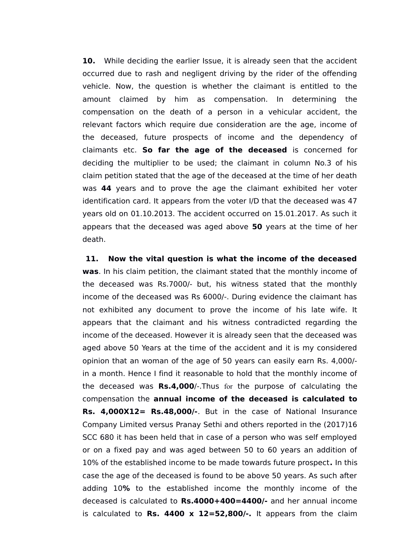**10.** While deciding the earlier Issue, it is already seen that the accident occurred due to rash and negligent driving by the rider of the offending vehicle. Now, the question is whether the claimant is entitled to the amount claimed by him as compensation. In determining the compensation on the death of a person in a vehicular accident, the relevant factors which require due consideration are the age, income of the deceased, future prospects of income and the dependency of claimants etc. **So far the age of the deceased** is concerned for deciding the multiplier to be used; the claimant in column No.3 of his claim petition stated that the age of the deceased at the time of her death was **44** years and to prove the age the claimant exhibited her voter identification card. It appears from the voter I/D that the deceased was 47 years old on 01.10.2013. The accident occurred on 15.01.2017. As such it appears that the deceased was aged above **50** years at the time of her death.

 **11. Now the vital question is what the income of the deceased was**. In his claim petition, the claimant stated that the monthly income of the deceased was Rs.7000/- but, his witness stated that the monthly income of the deceased was Rs 6000/-. During evidence the claimant has not exhibited any document to prove the income of his late wife. It appears that the claimant and his witness contradicted regarding the income of the deceased. However it is already seen that the deceased was aged above 50 Years at the time of the accident and it is my considered opinion that an woman of the age of 50 years can easily earn Rs. 4,000/ in a month. Hence I find it reasonable to hold that the monthly income of the deceased was **Rs.4,000**/-.Thus for the purpose of calculating the compensation the **annual income of the deceased is calculated to Rs. 4,000X12= Rs.48,000/-**. But in the case of National Insurance Company Limited versus Pranay Sethi and others reported in the (2017)16 SCC 680 it has been held that in case of a person who was self employed or on a fixed pay and was aged between 50 to 60 years an addition of 10% of the established income to be made towards future prospect**.** In this case the age of the deceased is found to be above 50 years. As such after adding 10**%** to the established income the monthly income of the deceased is calculated to **Rs.4000+400=4400/-** and her annual income is calculated to **Rs. 4400 x 12=52,800/-.** It appears from the claim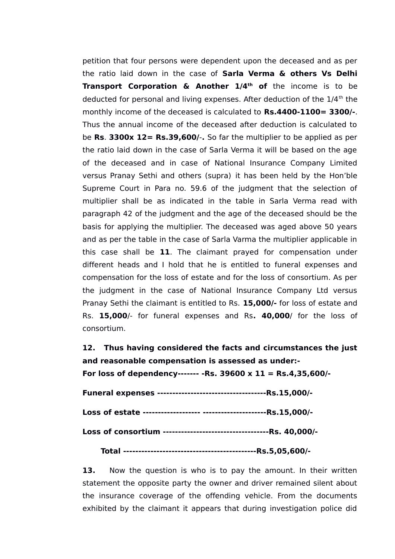petition that four persons were dependent upon the deceased and as per the ratio laid down in the case of **Sarla Verma & others Vs Delhi Transport Corporation & Another 1/4th of** the income is to be deducted for personal and living expenses. After deduction of the  $1/4<sup>th</sup>$  the monthly income of the deceased is calculated to **Rs.4400-1100= 3300/-**. Thus the annual income of the deceased after deduction is calculated to be **Rs**. **3300x 12= Rs.39,600/**-**.** So far the multiplier to be applied as per the ratio laid down in the case of Sarla Verma it will be based on the age of the deceased and in case of National Insurance Company Limited versus Pranay Sethi and others (supra) it has been held by the Hon'ble Supreme Court in Para no. 59.6 of the judgment that the selection of multiplier shall be as indicated in the table in Sarla Verma read with paragraph 42 of the judgment and the age of the deceased should be the basis for applying the multiplier. The deceased was aged above 50 years and as per the table in the case of Sarla Varma the multiplier applicable in this case shall be **11**. The claimant prayed for compensation under different heads and I hold that he is entitled to funeral expenses and compensation for the loss of estate and for the loss of consortium. As per the judgment in the case of National Insurance Company Ltd versus Pranay Sethi the claimant is entitled to Rs. **15,000/-** for loss of estate and Rs. **15,000**/- for funeral expenses and Rs**. 40,000**/ for the loss of consortium.

**12. Thus having considered the facts and circumstances the just and reasonable compensation is assessed as under:-**

**For loss of dependency------- -Rs. 39600 x 11 = Rs.4,35,600/-**

## **Total --------------------------------------------Rs.5,05,600/-**

**13.** Now the question is who is to pay the amount. In their written statement the opposite party the owner and driver remained silent about the insurance coverage of the offending vehicle. From the documents exhibited by the claimant it appears that during investigation police did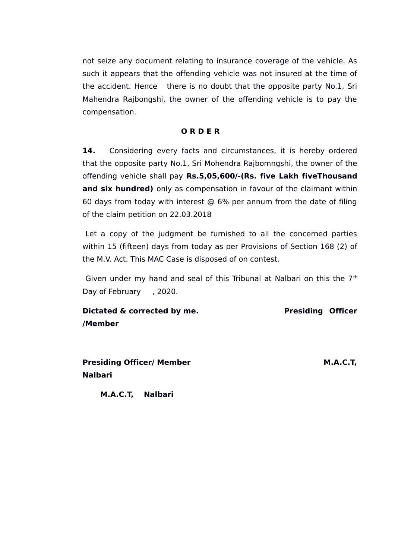not seize any document relating to insurance coverage of the vehicle. As such it appears that the offending vehicle was not insured at the time of the accident. Hence there is no doubt that the opposite party No.1, Sri Mahendra Rajbongshi, the owner of the offending vehicle is to pay the compensation.

### **O R D E R**

14. Considering every facts and circumstances, it is hereby ordered that the opposite party No.1, Sri Mohendra Rajbomngshi, the owner of the offending vehicle shall pay **Rs.5,05,600/-(Rs. five Lakh fiveThousand and six hundred)** only as compensation in favour of the claimant within 60 days from today with interest @ 6% per annum from the date of filing of the claim petition on 22.03.2018

Let a copy of the judgment be furnished to all the concerned parties within 15 (fifteen) days from today as per Provisions of Section 168 (2) of the M.V. Act. This MAC Case is disposed of on contest.

Given under my hand and seal of this Tribunal at Nalbari on this the  $7<sup>th</sup>$ Day of February , 2020.

**Dictated & corrected by me.** Presiding Officer **/Member** 

**Presiding Officer/ Member M.A.C.T, Nalbari**

 **M.A.C.T, Nalbari**